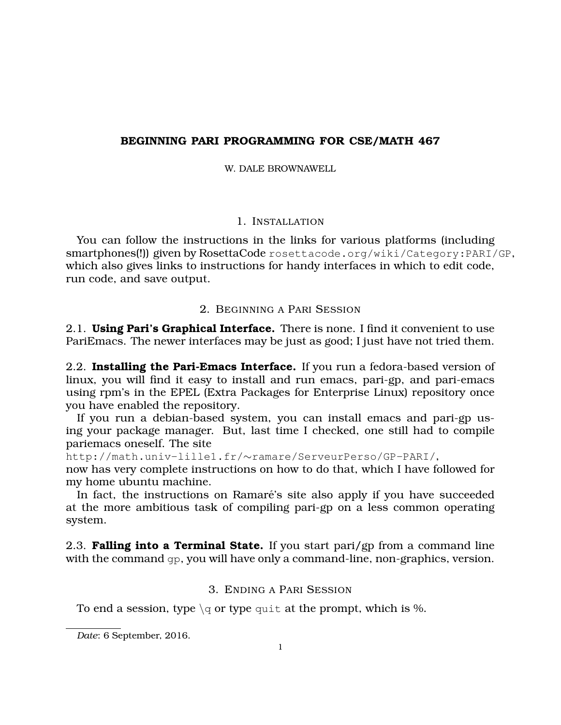# **BEGINNING PARI PROGRAMMING FOR CSE/MATH 467**

W. DALE BROWNAWELL.

# 1. INSTALLATION

You can follow the instructions in the links for various platforms (including smartphones(!)) given by RosettaCode rosettacode.org/wiki/Category:PARI/GP, which also gives links to instructions for handy interfaces in which to edit code, run code, and save output.

# 2. BEGINNING A PARI SESSION

2.1. **Using Pari's Graphical Interface.** There is none. I find it convenient to use PariEmacs. The newer interfaces may be just as good; I just have not tried them.

2.2. **Installing the Pari-Emacs Interface.** If you run a fedora-based version of linux, you will find it easy to install and run emacs, pari-gp, and pari-emacs using rpm's in the EPEL (Extra Packages for Enterprise Linux) repository once you have enabled the repository.

If you run a debian-based system, you can install emacs and pari-gp using your package manager. But, last time I checked, one still had to compile pariemacs oneself. The site

http://math.univ-lille1.fr/∼ramare/ServeurPerso/GP-PARI/,

now has very complete instructions on how to do that, which I have followed for my home ubuntu machine.

In fact, the instructions on Ramaré's site also apply if you have succeeded at the more ambitious task of compiling pari-gp on a less common operating system.

2.3. **Falling into a Terminal State.** If you start pari/gp from a command line with the command gp, you will have only a command-line, non-graphics, version.

# 3. ENDING A PARI SESSION

To end a session, type  $\qquadvarphi$  or type quit at the prompt, which is %.

*Date*: 6 September, 2016.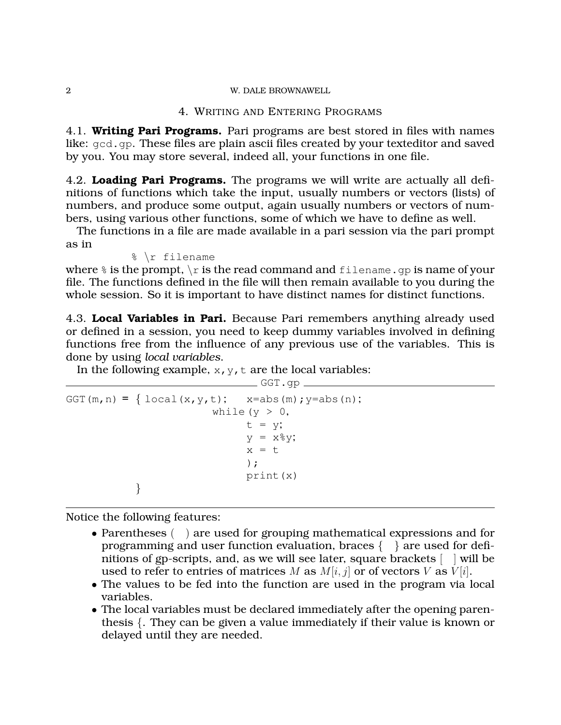#### 2 W. DALE BROWNAWELL

## 4. WRITING AND ENTERING PROGRAMS

4.1. **Writing Pari Programs.** Pari programs are best stored in files with names like: gcd.gp. These files are plain ascii files created by your texteditor and saved by you. You may store several, indeed all, your functions in one file.

4.2. **Loading Pari Programs.** The programs we will write are actually all definitions of functions which take the input, usually numbers or vectors (lists) of numbers, and produce some output, again usually numbers or vectors of numbers, using various other functions, some of which we have to define as well.

The functions in a file are made available in a pari session via the pari prompt as in

% \r filename

where  $\frac{1}{6}$  is the prompt,  $\frac{1}{2}$  is the read command and filename.gp is name of your file. The functions defined in the file will then remain available to you during the whole session. So it is important to have distinct names for distinct functions.

4.3. **Local Variables in Pari.** Because Pari remembers anything already used or defined in a session, you need to keep dummy variables involved in defining functions free from the influence of any previous use of the variables. This is done by using *local variables*.

In the following example,  $x, y, t$  are the local variables:

```
GGT.qpGGT(m, n) = { local(x, y, t); x=abs(m); y=abs(n);
                        while (y > 0,t = y;y = x\frac{6}{3}y;x = t);
                              print(x)
           }
```
Notice the following features:

- Parentheses () are used for grouping mathematical expressions and for programming and user function evaluation, braces  $\{\}$  are used for definitions of gp-scripts, and, as we will see later, square brackets [ ] will be used to refer to entries of matrices M as  $M[i, j]$  or of vectors V as  $V[i]$ .
- The values to be fed into the function are used in the program via local variables.
- The local variables must be declared immediately after the opening parenthesis {. They can be given a value immediately if their value is known or delayed until they are needed.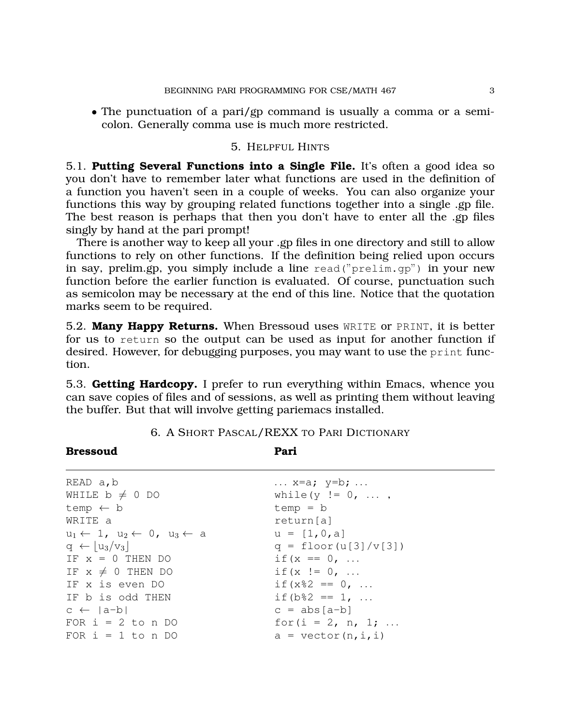• The punctuation of a pari/gp command is usually a comma or a semicolon. Generally comma use is much more restricted.

### 5. HELPFUL HINTS

5.1. **Putting Several Functions into a Single File.** It's often a good idea so you don't have to remember later what functions are used in the definition of a function you haven't seen in a couple of weeks. You can also organize your functions this way by grouping related functions together into a single .gp file. The best reason is perhaps that then you don't have to enter all the .gp files singly by hand at the pari prompt!

There is another way to keep all your .gp files in one directory and still to allow functions to rely on other functions. If the definition being relied upon occurs in say, prelim.gp, you simply include a line read("prelim.gp") in your new function before the earlier function is evaluated. Of course, punctuation such as semicolon may be necessary at the end of this line. Notice that the quotation marks seem to be required.

5.2. **Many Happy Returns.** When Bressoud uses WRITE or PRINT, it is better for us to return so the output can be used as input for another function if desired. However, for debugging purposes, you may want to use the print function.

5.3. **Getting Hardcopy.** I prefer to run everything within Emacs, whence you can save copies of files and of sessions, as well as printing them without leaving the buffer. But that will involve getting pariemacs installed.

| READ a, b                                                    | $\ldots$ x=a; y=b; $\ldots$   |
|--------------------------------------------------------------|-------------------------------|
| WHILE $b \neq 0$ DO                                          | while $(y := 0, ,$            |
| temp $\leftarrow$ b                                          | $temp = b$                    |
| WRITE a                                                      | return[a]                     |
| $u_1 \leftarrow 1$ , $u_2 \leftarrow 0$ , $u_3 \leftarrow a$ | $u = [1, 0, a]$               |
| $q \leftarrow  u_3/v_3 $                                     | $q = \text{floor}(u[3]/v[3])$ |
| IF $x = 0$ THEN DO                                           | if $(x == 0, $                |
| IF $x \neq 0$ THEN DO                                        | if $(x := 0, $                |
| IF x is even DO                                              | if $(x82 == 0, $              |
| IF b is odd THEN                                             | if $(b \& 2 == 1, $           |
| $c \leftarrow  a-b $                                         | $c = abs[a-b]$                |
| FOR $i = 2$ to n DO                                          | for $(i = 2, n, 1; $          |
| FOR $i = 1$ to n DO                                          | $a = vector(n, i, i)$         |
|                                                              |                               |

**Bressoud Pari**

6. A SHORT PASCAL/REXX TO PARI DICTIONARY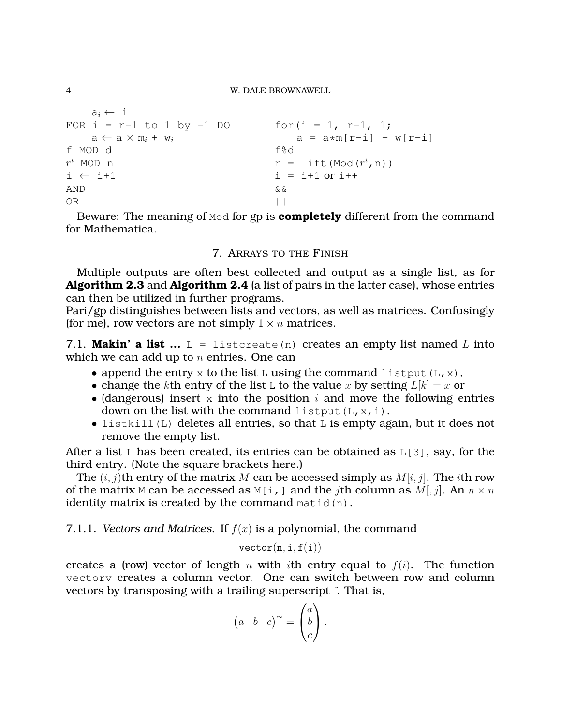```
a_i \leftarrow iFOR i = r-1 to 1 by -1 DO for(i = 1, r-1, 1;
  a \leftarrow a \times m_i + w_i<br>
a = a * m[r-i] - w[r-i]<br>
on d
f MOD d
r^i MOD n
i MOD n r = \text{lift}(\text{Mod}(r^i, n))i \leftarrow i+1 i = i+1 \text{ or } i++AND & \&OR | |
```
Beware: The meaning of Mod for gp is **completely** different from the command for Mathematica.

# 7. ARRAYS TO THE FINISH

Multiple outputs are often best collected and output as a single list, as for **Algorithm 2.3** and **Algorithm 2.4** (a list of pairs in the latter case), whose entries can then be utilized in further programs.

Pari/gp distinguishes between lists and vectors, as well as matrices. Confusingly (for me), row vectors are not simply  $1 \times n$  matrices.

7.1. **Makin' a list**  $\ldots$  L = listcreate(n) creates an empty list named L into which we can add up to  $n$  entries. One can

- append the entry x to the list L using the command listput  $(L, x)$ ,
- change the kth entry of the list L to the value x by setting  $L[k] = x$  or
- (dangerous) insert x into the position  $i$  and move the following entries down on the list with the command listput  $(L, x, i)$ .
- listkill(L) deletes all entries, so that L is empty again, but it does not remove the empty list.

After a list  $L$  has been created, its entries can be obtained as  $L[3]$ , say, for the third entry. (Note the square brackets here.)

The  $(i, j)$ th entry of the matrix M can be accessed simply as  $M[i, j]$ . The *i*th row of the matrix M can be accessed as M[i, ] and the *j*th column as M[, *j*]. An  $n \times n$ identity matrix is created by the command  $matid(n)$ .

# 7.1.1. *Vectors and Matrices.* If  $f(x)$  is a polynomial, the command

 $vector(n, i, f(i))$ 

creates a (row) vector of length n with ith entry equal to  $f(i)$ . The function vectorv creates a column vector. One can switch between row and column vectors by transposing with a trailing superscript ˜. That is,

$$
\begin{pmatrix} a & b & c \end{pmatrix}^{\sim} = \begin{pmatrix} a \\ b \\ c \end{pmatrix}.
$$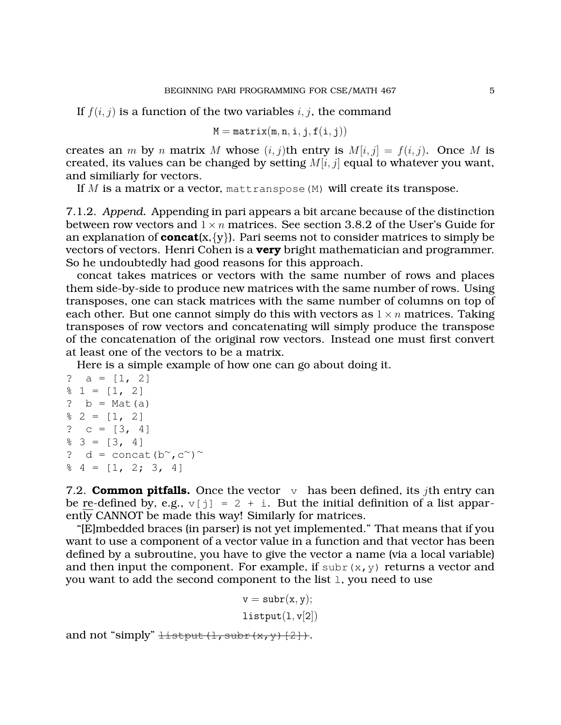If  $f(i, j)$  is a function of the two variables i, j, the command

$$
M = matrix(m, n, i, j, f(i, j))
$$

creates an m by n matrix M whose  $(i, j)$ th entry is  $M[i, j] = f(i, j)$ . Once M is created, its values can be changed by setting  $M[i, j]$  equal to whatever you want, and similiarly for vectors.

If  $M$  is a matrix or a vector, mattranspose  $(M)$  will create its transpose.

7.1.2. *Append.* Appending in pari appears a bit arcane because of the distinction between row vectors and  $1 \times n$  matrices. See section 3.8.2 of the User's Guide for an explanation of **concat** $(x, \{y\})$ . Pari seems not to consider matrices to simply be vectors of vectors. Henri Cohen is a **very** bright mathematician and programmer. So he undoubtedly had good reasons for this approach.

concat takes matrices or vectors with the same number of rows and places them side-by-side to produce new matrices with the same number of rows. Using transposes, one can stack matrices with the same number of columns on top of each other. But one cannot simply do this with vectors as  $1 \times n$  matrices. Taking transposes of row vectors and concatenating will simply produce the transpose of the concatenation of the original row vectors. Instead one must first convert at least one of the vectors to be a matrix.

Here is a simple example of how one can go about doing it.

```
? a = [1, 2]\frac{1}{6} 1 = [1, 2]? b = Mat(a)\frac{1}{2} 2 = [1, 2]? c = [3, 4]\frac{1}{6} 3 = [3, 4]
? d = concat(b<sup>∼</sup>, c<sup>∼</sup>)<sup>~</sup>
\frac{1}{6} 4 = [1, 2; 3, 4]
```
7.2. **Common pitfalls.** Once the vector  $\vee$  has been defined, its *j*th entry can be re-defined by, e.g.,  $v[j] = 2 + i$ . But the initial definition of a list apparently CANNOT be made this way! Similarly for matrices.

"[E]mbedded braces (in parser) is not yet implemented." That means that if you want to use a component of a vector value in a function and that vector has been defined by a subroutine, you have to give the vector a name (via a local variable) and then input the component. For example, if subr(x,y) returns a vector and you want to add the second component to the list l, you need to use

> $v = \text{subr}(x, y);$  $listput(1, v[2])$

and not "simply"  $\pm$ istput(l, subr(x,y)[2]).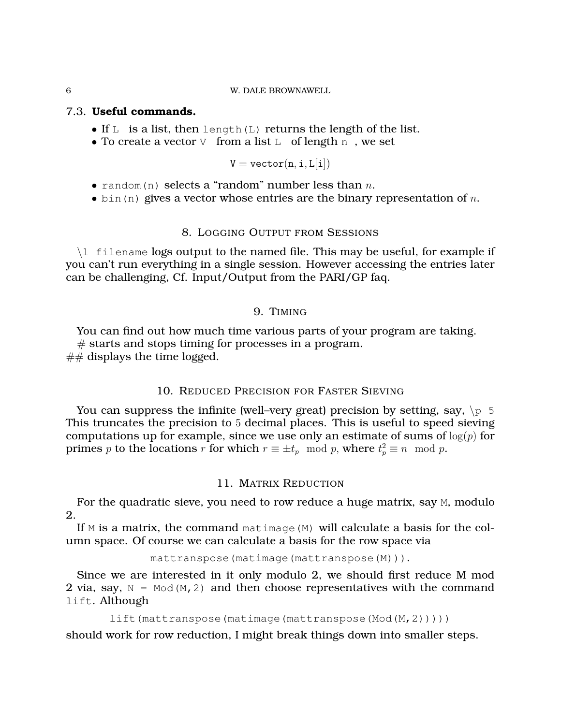#### 6 W. DALE BROWNAWELL

# 7.3. **Useful commands.**

- If  $L$  is a list, then length(L) returns the length of the list.
- To create a vector  $\nabla$  from a list  $L$  of length n, we set

$$
\mathtt{V} = \mathtt{vector}(\mathtt{n}, \mathtt{i}, \mathtt{L}[\mathtt{i}])
$$

- random(n) selects a "random" number less than  $n$ .
- bin(n) gives a vector whose entries are the binary representation of n.

### 8. LOGGING OUTPUT FROM SESSIONS

\l filename logs output to the named file. This may be useful, for example if you can't run everything in a single session. However accessing the entries later can be challenging, Cf. Input/Output from the PARI/GP faq.

# 9. TIMING

You can find out how much time various parts of your program are taking.  $#$  starts and stops timing for processes in a program.  $#$ # displays the time logged.

# 10. REDUCED PRECISION FOR FASTER SIEVING

You can suppress the infinite (well–very great) precision by setting, say,  $\pi$  5 This truncates the precision to 5 decimal places. This is useful to speed sieving computations up for example, since we use only an estimate of sums of  $log(p)$  for primes p to the locations r for which  $r \equiv \pm t_p \mod p$ , where  $t_p^2 \equiv n \mod p$ .

# 11. MATRIX REDUCTION

For the quadratic sieve, you need to row reduce a huge matrix, say M, modulo 2.

If M is a matrix, the command matimage(M) will calculate a basis for the column space. Of course we can calculate a basis for the row space via

```
mattranspose(matimage(mattranspose(M))).
```
Since we are interested in it only modulo 2, we should first reduce M mod 2 via, say,  $N = Mod(M, 2)$  and then choose representatives with the command lift. Although

```
lift(mattranspose(matimage(mattranspose(Mod(M,2)))))
```
should work for row reduction, I might break things down into smaller steps.